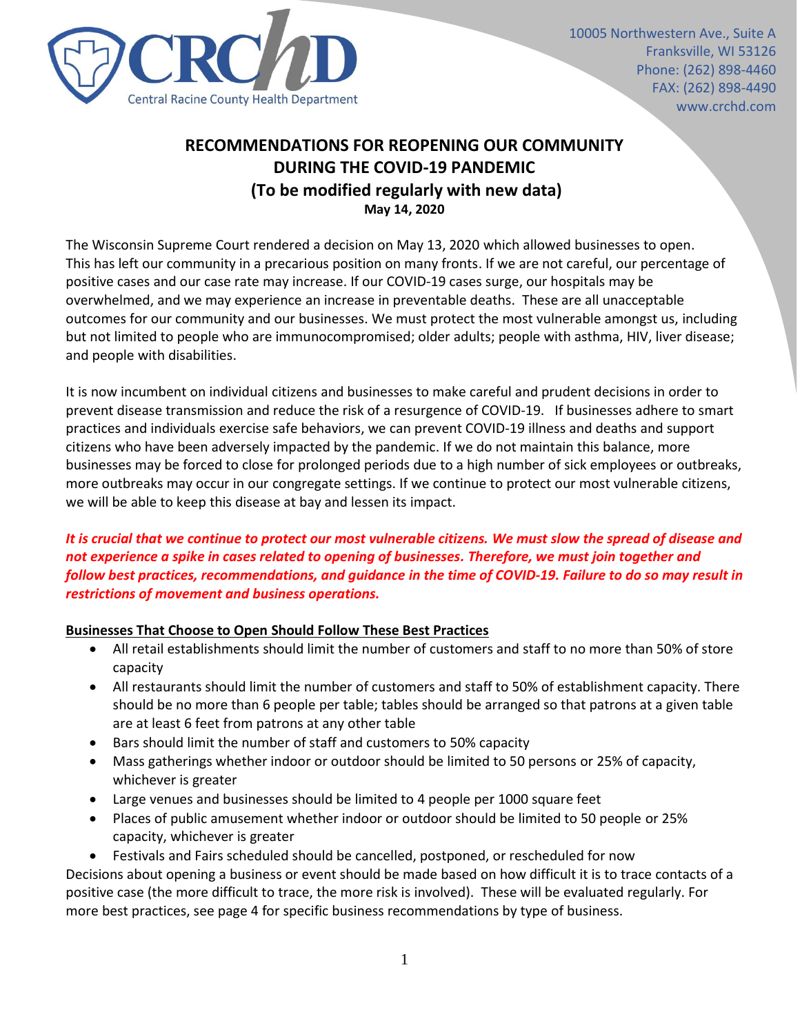

# **RECOMMENDATIONS FOR REOPENING OUR COMMUNITY DURING THE COVID-19 PANDEMIC (To be modified regularly with new data) May 14, 2020**

The Wisconsin Supreme Court rendered a decision on May 13, 2020 which allowed businesses to open. This has left our community in a precarious position on many fronts. If we are not careful, our percentage of positive cases and our case rate may increase. If our COVID-19 cases surge, our hospitals may be overwhelmed, and we may experience an increase in preventable deaths. These are all unacceptable outcomes for our community and our businesses. We must protect the most vulnerable amongst us, including but not limited to people who are immunocompromised; older adults; people with asthma, HIV, liver disease; and people with disabilities.

It is now incumbent on individual citizens and businesses to make careful and prudent decisions in order to prevent disease transmission and reduce the risk of a resurgence of COVID-19. If businesses adhere to smart practices and individuals exercise safe behaviors, we can prevent COVID-19 illness and deaths and support citizens who have been adversely impacted by the pandemic. If we do not maintain this balance, more businesses may be forced to close for prolonged periods due to a high number of sick employees or outbreaks, more outbreaks may occur in our congregate settings. If we continue to protect our most vulnerable citizens, we will be able to keep this disease at bay and lessen its impact.

# *It is crucial that we continue to protect our most vulnerable citizens. We must slow the spread of disease and not experience a spike in cases related to opening of businesses. Therefore, we must join together and follow best practices, recommendations, and guidance in the time of COVID-19. Failure to do so may result in restrictions of movement and business operations.*

# **Businesses That Choose to Open Should Follow These Best Practices**

- All retail establishments should limit the number of customers and staff to no more than 50% of store capacity
- All restaurants should limit the number of customers and staff to 50% of establishment capacity. There should be no more than 6 people per table; tables should be arranged so that patrons at a given table are at least 6 feet from patrons at any other table
- Bars should limit the number of staff and customers to 50% capacity
- Mass gatherings whether indoor or outdoor should be limited to 50 persons or 25% of capacity, whichever is greater
- Large venues and businesses should be limited to 4 people per 1000 square feet
- Places of public amusement whether indoor or outdoor should be limited to 50 people or 25% capacity, whichever is greater
- Festivals and Fairs scheduled should be cancelled, postponed, or rescheduled for now

Decisions about opening a business or event should be made based on how difficult it is to trace contacts of a positive case (the more difficult to trace, the more risk is involved). These will be evaluated regularly. For more best practices, see page 4 for specific business recommendations by type of business.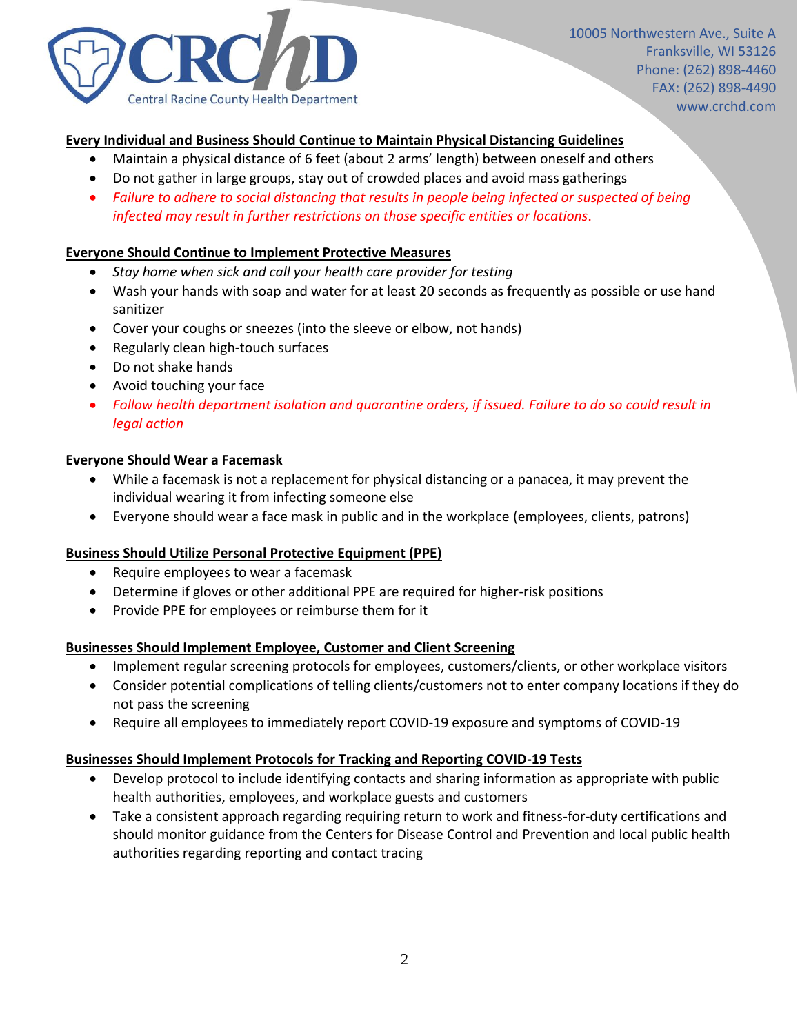

## **Every Individual and Business Should Continue to Maintain Physical Distancing Guidelines**

- Maintain a physical distance of 6 feet (about 2 arms' length) between oneself and others
- Do not gather in large groups, stay out of crowded places and avoid mass gatherings
- *Failure to adhere to social distancing that results in people being infected or suspected of being infected may result in further restrictions on those specific entities or locations*.

#### **Everyone Should Continue to Implement Protective Measures**

- *Stay home when sick and call your health care provider for testing*
- Wash your hands with soap and water for at least 20 seconds as frequently as possible or use hand sanitizer
- Cover your coughs or sneezes (into the sleeve or elbow, not hands)
- Regularly clean high-touch surfaces
- Do not shake hands
- Avoid touching your face
- *Follow health department isolation and quarantine orders, if issued. Failure to do so could result in legal action*

### **Everyone Should Wear a Facemask**

- While a facemask is not a replacement for physical distancing or a panacea, it may prevent the individual wearing it from infecting someone else
- Everyone should wear a face mask in public and in the workplace (employees, clients, patrons)

## **Business Should Utilize Personal Protective Equipment (PPE)**

- Require employees to wear a facemask
- Determine if gloves or other additional PPE are required for higher-risk positions
- Provide PPE for employees or reimburse them for it

## **Businesses Should Implement Employee, Customer and Client Screening**

- Implement regular screening protocols for employees, customers/clients, or other workplace visitors
- Consider potential complications of telling clients/customers not to enter company locations if they do not pass the screening
- Require all employees to immediately report COVID-19 exposure and symptoms of COVID-19

#### **Businesses Should Implement Protocols for Tracking and Reporting COVID-19 Tests**

- Develop protocol to include identifying contacts and sharing information as appropriate with public health authorities, employees, and workplace guests and customers
- Take a consistent approach regarding requiring return to work and fitness-for-duty certifications and should monitor guidance from the Centers for Disease Control and Prevention and local public health authorities regarding reporting and contact tracing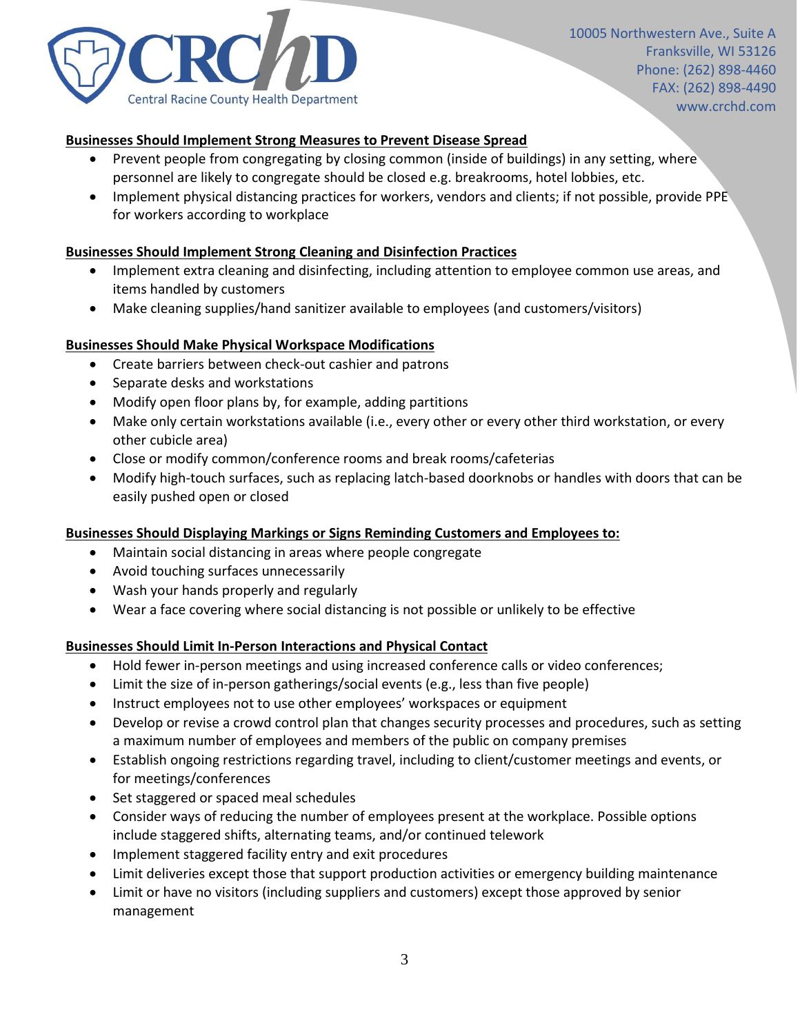

## **Businesses Should Implement Strong Measures to Prevent Disease Spread**

- Prevent people from congregating by closing common (inside of buildings) in any setting, where personnel are likely to congregate should be closed e.g. breakrooms, hotel lobbies, etc.
- Implement physical distancing practices for workers, vendors and clients; if not possible, provide PPE for workers according to workplace

## **Businesses Should Implement Strong Cleaning and Disinfection Practices**

- Implement extra cleaning and disinfecting, including attention to employee common use areas, and items handled by customers
- Make cleaning supplies/hand sanitizer available to employees (and customers/visitors)

#### **Businesses Should Make Physical Workspace Modifications**

- Create barriers between check-out cashier and patrons
- Separate desks and workstations
- Modify open floor plans by, for example, adding partitions
- Make only certain workstations available (i.e., every other or every other third workstation, or every other cubicle area)
- Close or modify common/conference rooms and break rooms/cafeterias
- Modify high-touch surfaces, such as replacing latch-based doorknobs or handles with doors that can be easily pushed open or closed

#### **Businesses Should Displaying Markings or Signs Reminding Customers and Employees to:**

- Maintain social distancing in areas where people congregate
- Avoid touching surfaces unnecessarily
- Wash your hands properly and regularly
- Wear a face covering where social distancing is not possible or unlikely to be effective

#### **Businesses Should Limit In-Person Interactions and Physical Contact**

- Hold fewer in-person meetings and using increased conference calls or video conferences;
- Limit the size of in-person gatherings/social events (e.g., less than five people)
- Instruct employees not to use other employees' workspaces or equipment
- Develop or revise a crowd control plan that changes security processes and procedures, such as setting a maximum number of employees and members of the public on company premises
- Establish ongoing restrictions regarding travel, including to client/customer meetings and events, or for meetings/conferences
- Set staggered or spaced meal schedules
- Consider ways of reducing the number of employees present at the workplace. Possible options include staggered shifts, alternating teams, and/or continued telework
- Implement staggered facility entry and exit procedures
- Limit deliveries except those that support production activities or emergency building maintenance
- Limit or have no visitors (including suppliers and customers) except those approved by senior management